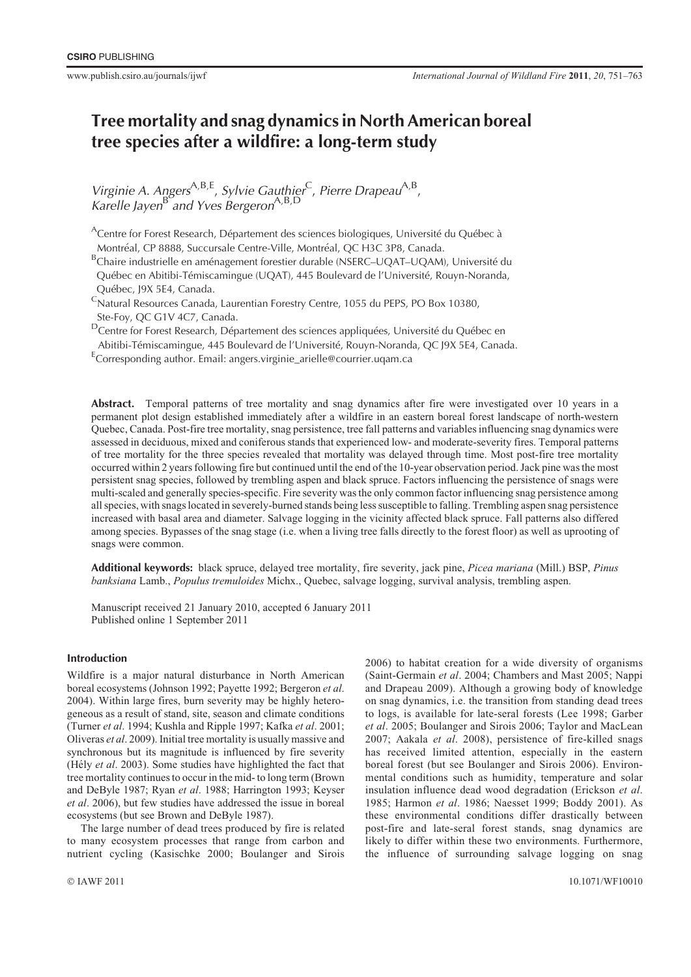# Tree mortality and snag dynamics in North American boreal tree species after a wildfire: a long-term study

Virginie A. Angers<sup>A,B,E</sup>, Sylvie Gauthier<sup>C</sup>, Pierre Drapeau<sup>A,B</sup>, Karelle Jayen<sup>Bo</sup>and Yves Bergeron<sup>A, B, D</sup>

<sup>A</sup>Centre for Forest Research, Département des sciences biologiques, Université du Québec à Montréal, CP 8888, Succursale Centre-Ville, Montréal, QC H3C 3P8, Canada.

<sup>B</sup>Chaire industrielle en aménagement forestier durable (NSERC-UQAT-UQAM), Université du Québec en Abitibi-Témiscamingue (UQAT), 445 Boulevard de l'Université, Rouyn-Noranda, Québec, J9X 5E4, Canada.

CNatural Resources Canada, Laurentian Forestry Centre, 1055 du PEPS, PO Box 10380, Ste-Foy, QC G1V 4C7, Canada.

DC<sub>entre</sub> for Forest Research, Département des sciences appliquées, Université du Québec en Abitibi-Témiscamingue, 445 Boulevard de l'Université, Rouyn-Noranda, QC J9X 5E4, Canada.

<sup>E</sup>Corresponding author. Email: angers.virginie\_arielle@courrier.uqam.ca

Abstract. Temporal patterns of tree mortality and snag dynamics after fire were investigated over 10 years in a permanent plot design established immediately after a wildfire in an eastern boreal forest landscape of north-western Quebec, Canada. Post-fire tree mortality, snag persistence, tree fall patterns and variables influencing snag dynamics were assessed in deciduous, mixed and coniferous stands that experienced low- and moderate-severity fires. Temporal patterns of tree mortality for the three species revealed that mortality was delayed through time. Most post-fire tree mortality occurred within 2 years following fire but continued until the end of the 10-year observation period. Jack pine was the most persistent snag species, followed by trembling aspen and black spruce. Factors influencing the persistence of snags were multi-scaled and generally species-specific. Fire severity was the only common factor influencing snag persistence among all species, with snags located in severely-burned stands being less susceptible to falling. Trembling aspen snag persistence increased with basal area and diameter. Salvage logging in the vicinity affected black spruce. Fall patterns also differed among species. Bypasses of the snag stage (i.e. when a living tree falls directly to the forest floor) as well as uprooting of snags were common.

Additional keywords: black spruce, delayed tree mortality, fire severity, jack pine, *Picea mariana* (Mill.) BSP, *Pinus banksiana* Lamb., *Populus tremuloides* Michx., Quebec, salvage logging, survival analysis, trembling aspen.

Manuscript received 21 January 2010, accepted 6 January 2011 Published online 1 September 2011

# Introduction

Wildfire is a major natural disturbance in North American boreal ecosystems (Johnson 1992; Payette 1992; Bergeron *et al*. 2004). Within large fires, burn severity may be highly heterogeneous as a result of stand, site, season and climate conditions (Turner *et al*. 1994; Kushla and Ripple 1997; Kafka *et al*. 2001; Oliveras *et al*. 2009). Initial tree mortality is usually massive and synchronous but its magnitude is influenced by fire severity (Hély *et al.* 2003). Some studies have highlighted the fact that tree mortality continues to occur in the mid- to long term (Brown and DeByle 1987; Ryan *et al*. 1988; Harrington 1993; Keyser *et al*. 2006), but few studies have addressed the issue in boreal ecosystems (but see Brown and DeByle 1987).

The large number of dead trees produced by fire is related to many ecosystem processes that range from carbon and nutrient cycling (Kasischke 2000; Boulanger and Sirois

 $\odot$  IAWF 2011 10.1071/WF10010

2006) to habitat creation for a wide diversity of organisms (Saint-Germain *et al*. 2004; Chambers and Mast 2005; Nappi and Drapeau 2009). Although a growing body of knowledge on snag dynamics, i.e. the transition from standing dead trees to logs, is available for late-seral forests (Lee 1998; Garber *et al*. 2005; Boulanger and Sirois 2006; Taylor and MacLean 2007; Aakala *et al*. 2008), persistence of fire-killed snags has received limited attention, especially in the eastern boreal forest (but see Boulanger and Sirois 2006). Environmental conditions such as humidity, temperature and solar insulation influence dead wood degradation (Erickson *et al*. 1985; Harmon *et al*. 1986; Naesset 1999; Boddy 2001). As these environmental conditions differ drastically between post-fire and late-seral forest stands, snag dynamics are likely to differ within these two environments. Furthermore, the influence of surrounding salvage logging on snag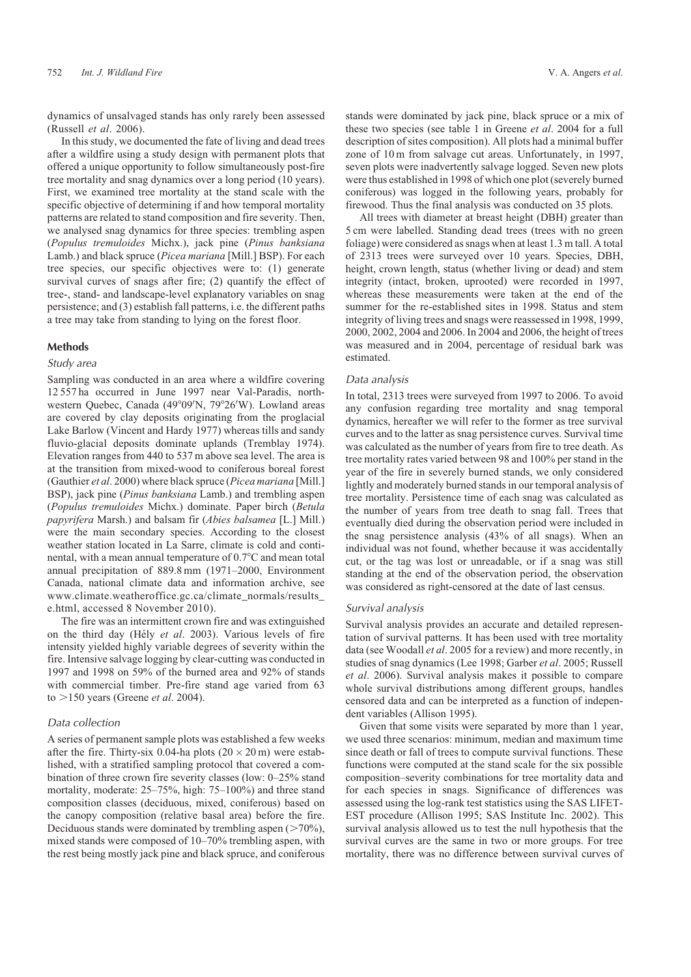dynamics of unsalvaged stands has only rarely been assessed (Russell *et al*. 2006).

In this study, we documented the fate of living and dead trees after a wildfire using a study design with permanent plots that offered a unique opportunity to follow simultaneously post-fire tree mortality and snag dynamics over a long period (10 years). First, we examined tree mortality at the stand scale with the specific objective of determining if and how temporal mortality patterns are related to stand composition and fire severity. Then, we analysed snag dynamics for three species: trembling aspen (*Populus tremuloides* Michx.), jack pine (*Pinus banksiana* Lamb.) and black spruce (*Picea mariana* [Mill.] BSP). For each tree species, our specific objectives were to: (1) generate survival curves of snags after fire; (2) quantify the effect of tree-, stand- and landscape-level explanatory variables on snag persistence; and (3) establish fall patterns, i.e. the different paths a tree may take from standing to lying on the forest floor.

## Methods

## Study area

Sampling was conducted in an area where a wildfire covering 12 557 ha occurred in June 1997 near Val-Paradis, northwestern Quebec, Canada (49°09'N, 79°26'W). Lowland areas are covered by clay deposits originating from the proglacial Lake Barlow (Vincent and Hardy 1977) whereas tills and sandy fluvio-glacial deposits dominate uplands (Tremblay 1974). Elevation ranges from 440 to 537 m above sea level. The area is at the transition from mixed-wood to coniferous boreal forest (Gauthier *et al*. 2000) where black spruce (*Picea mariana* [Mill.] BSP), jack pine (*Pinus banksiana* Lamb.) and trembling aspen (*Populus tremuloides* Michx.) dominate. Paper birch (*Betula papyrifera* Marsh.) and balsam fir (*Abies balsamea* [L.] Mill.) were the main secondary species. According to the closest weather station located in La Sarre, climate is cold and continental, with a mean annual temperature of 0.7°C and mean total annual precipitation of 889.8 mm (1971–2000, Environment Canada, national climate data and information archive, see www.climate.weatheroffice.gc.ca/climate\_normals/results [e.html](http://www.climate.weatheroffice.gc.ca/climate_normals/results_e.html), accessed 8 November 2010).

The fire was an intermittent crown fire and was extinguished on the third day (Hély *et al.* 2003). Various levels of fire intensity yielded highly variable degrees of severity within the fire. Intensive salvage logging by clear-cutting was conducted in 1997 and 1998 on 59% of the burned area and 92% of stands with commercial timber. Pre-fire stand age varied from 63 to >150 years (Greene *et al.* 2004).

# Data collection

A series of permanent sample plots was established a few weeks after the fire. Thirty-six 0.04-ha plots  $(20 \times 20 \text{ m})$  were established, with a stratified sampling protocol that covered a combination of three crown fire severity classes (low: 0–25% stand mortality, moderate: 25–75%, high: 75–100%) and three stand composition classes (deciduous, mixed, coniferous) based on the canopy composition (relative basal area) before the fire. Deciduous stands were dominated by trembling aspen  $($ >70%), mixed stands were composed of 10–70% trembling aspen, with the rest being mostly jack pine and black spruce, and coniferous stands were dominated by jack pine, black spruce or a mix of these two species (see table 1 in Greene *et al*. 2004 for a full description of sites composition). All plots had a minimal buffer zone of 10 m from salvage cut areas. Unfortunately, in 1997, seven plots were inadvertently salvage logged. Seven new plots were thus established in 1998 of which one plot (severely burned coniferous) was logged in the following years, probably for firewood. Thus the final analysis was conducted on 35 plots.

All trees with diameter at breast height (DBH) greater than 5 cm were labelled. Standing dead trees (trees with no green foliage) were considered as snags when at least 1.3 m tall. A total of 2313 trees were surveyed over 10 years. Species, DBH, height, crown length, status (whether living or dead) and stem integrity (intact, broken, uprooted) were recorded in 1997, whereas these measurements were taken at the end of the summer for the re-established sites in 1998. Status and stem integrity of living trees and snags were reassessed in 1998, 1999, 2000, 2002, 2004 and 2006. In 2004 and 2006, the height of trees was measured and in 2004, percentage of residual bark was estimated.

#### Data analysis

In total, 2313 trees were surveyed from 1997 to 2006. To avoid any confusion regarding tree mortality and snag temporal dynamics, hereafter we will refer to the former as tree survival curves and to the latter as snag persistence curves. Survival time was calculated as the number of years from fire to tree death. As tree mortality rates varied between 98 and 100% per stand in the year of the fire in severely burned stands, we only considered lightly and moderately burned stands in our temporal analysis of tree mortality. Persistence time of each snag was calculated as the number of years from tree death to snag fall. Trees that eventually died during the observation period were included in the snag persistence analysis (43% of all snags). When an individual was not found, whether because it was accidentally cut, or the tag was lost or unreadable, or if a snag was still standing at the end of the observation period, the observation was considered as right-censored at the date of last census.

#### Survival analysis

Survival analysis provides an accurate and detailed representation of survival patterns. It has been used with tree mortality data (see Woodall *et al*. 2005 for a review) and more recently, in studies of snag dynamics (Lee 1998; Garber *et al*. 2005; Russell *et al*. 2006). Survival analysis makes it possible to compare whole survival distributions among different groups, handles censored data and can be interpreted as a function of independent variables (Allison 1995).

Given that some visits were separated by more than 1 year, we used three scenarios: minimum, median and maximum time since death or fall of trees to compute survival functions. These functions were computed at the stand scale for the six possible composition–severity combinations for tree mortality data and for each species in snags. Significance of differences was assessed using the log-rank test statistics using the SAS LIFET-EST procedure (Allison 1995; SAS Institute Inc. 2002). This survival analysis allowed us to test the null hypothesis that the survival curves are the same in two or more groups. For tree mortality, there was no difference between survival curves of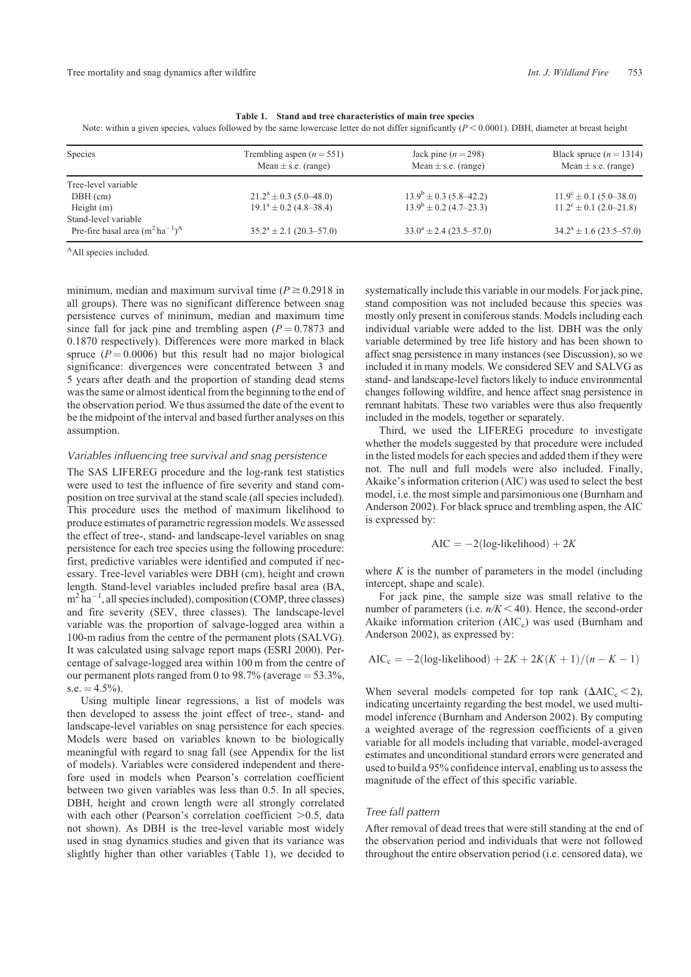|  | Table 1. Stand and tree characteristics of main tree species |  |  |  |  |  |  |
|--|--------------------------------------------------------------|--|--|--|--|--|--|
|--|--------------------------------------------------------------|--|--|--|--|--|--|

Note: within a given species, values followed by the same lowercase letter do not differ significantly  $(P < 0.0001)$ . DBH, diameter at breast height

| Trembling aspen $(n = 551)$<br>Mean $\pm$ s.e. (range) | Jack pine $(n=298)$<br>Mean $\pm$ s.e. (range) | Black spruce $(n = 1314)$<br>Mean $\pm$ s.e. (range) |  |
|--------------------------------------------------------|------------------------------------------------|------------------------------------------------------|--|
|                                                        |                                                |                                                      |  |
| $21.2^a \pm 0.3$ (5.0–48.0)                            | $13.9^b \pm 0.3$ (5.8–42.2)                    | $11.9^{\circ} \pm 0.1$ (5.0–38.0)                    |  |
| $19.1^a \pm 0.2$ (4.8–38.4)                            | $13.9^b \pm 0.2$ (4.7–23.3)                    | $11.2^{\circ} \pm 0.1$ (2.0–21.8)                    |  |
|                                                        |                                                |                                                      |  |
| $35.2^{\mathrm{a}} \pm 2.1$ (20.3–57.0)                | $33.0^{\circ} \pm 2.4$ (23.5–57.0)             | $34.2^{\circ} \pm 1.6$ (23.5–57.0)                   |  |
|                                                        |                                                |                                                      |  |

A<sub>All</sub> species included.

minimum, median and maximum survival time  $(P \ge 0.2918$  in all groups). There was no significant difference between snag persistence curves of minimum, median and maximum time since fall for jack pine and trembling aspen  $(P = 0.7873$  and 0.1870 respectively). Differences were more marked in black spruce  $(P = 0.0006)$  but this result had no major biological significance: divergences were concentrated between 3 and 5 years after death and the proportion of standing dead stems was the same or almost identical from the beginning to the end of the observation period. We thus assumed the date of the event to be the midpoint of the interval and based further analyses on this assumption.

## Variables influencing tree survival and snag persistence

The SAS LIFEREG procedure and the log-rank test statistics were used to test the influence of fire severity and stand composition on tree survival at the stand scale (all species included). This procedure uses the method of maximum likelihood to produce estimates of parametric regression models. We assessed the effect of tree-, stand- and landscape-level variables on snag persistence for each tree species using the following procedure: first, predictive variables were identified and computed if necessary. Tree-level variables were DBH (cm), height and crown length. Stand-level variables included prefire basal area (BA,  $m^2$  ha<sup>-1</sup>, all species included), composition (COMP, three classes) and fire severity (SEV, three classes). The landscape-level variable was the proportion of salvage-logged area within a 100-m radius from the centre of the permanent plots (SALVG). It was calculated using salvage report maps (ESRI 2000). Percentage of salvage-logged area within 100 m from the centre of our permanent plots ranged from 0 to 98.7% (average  $=$  53.3%,  $s.e. = 4.5\%$ ).

Using multiple linear regressions, a list of models was then developed to assess the joint effect of tree-, stand- and landscape-level variables on snag persistence for each species. Models were based on variables known to be biologically meaningful with regard to snag fall (see Appendix for the list of models). Variables were considered independent and therefore used in models when Pearson's correlation coefficient between two given variables was less than 0.5. In all species, DBH, height and crown length were all strongly correlated with each other (Pearson's correlation coefficient  $>0.5$ , data not shown). As DBH is the tree-level variable most widely used in snag dynamics studies and given that its variance was slightly higher than other variables (Table 1), we decided to

systematically include this variable in our models. For jack pine, stand composition was not included because this species was mostly only present in coniferous stands. Models including each individual variable were added to the list. DBH was the only variable determined by tree life history and has been shown to affect snag persistence in many instances (see Discussion), so we included it in many models. We considered SEV and SALVG as stand- and landscape-level factors likely to induce environmental changes following wildfire, and hence affect snag persistence in remnant habitats. These two variables were thus also frequently included in the models, together or separately.

Third, we used the LIFEREG procedure to investigate whether the models suggested by that procedure were included in the listed models for each species and added them if they were not. The null and full models were also included. Finally, Akaike's information criterion (AIC) was used to select the best model, i.e. the most simple and parsimonious one (Burnham and Anderson 2002). For black spruce and trembling aspen, the AIC is expressed by:

$$
AIC = -2(log-likelihood) + 2K
$$

where *K* is the number of parameters in the model (including intercept, shape and scale).

For jack pine, the sample size was small relative to the number of parameters (i.e.  $n/K < 40$ ). Hence, the second-order Akaike information criterion  $(AIC<sub>c</sub>)$  was used (Burnham and Anderson 2002), as expressed by:

$$
AIC_c = -2(log-likelihood) + 2K + 2K(K+1)/(n - K - 1)
$$

When several models competed for top rank  $(\Delta AIC_c < 2)$ , indicating uncertainty regarding the best model, we used multimodel inference (Burnham and Anderson 2002). By computing a weighted average of the regression coefficients of a given variable for all models including that variable, model-averaged estimates and unconditional standard errors were generated and used to build a 95% confidence interval, enabling us to assess the magnitude of the effect of this specific variable.

## Tree fall pattern

After removal of dead trees that were still standing at the end of the observation period and individuals that were not followed throughout the entire observation period (i.e. censored data), we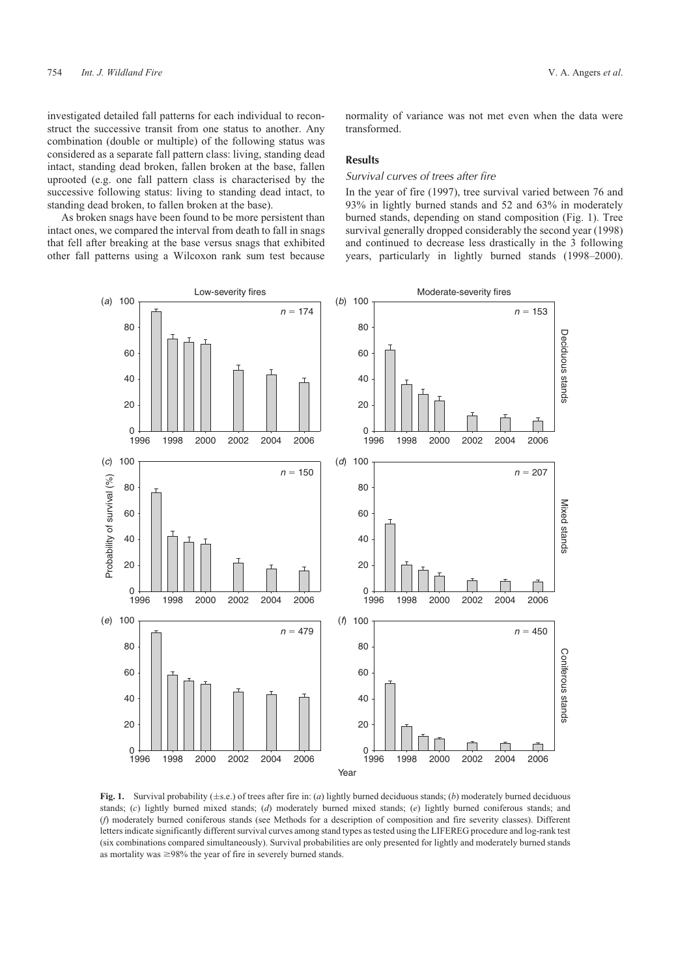investigated detailed fall patterns for each individual to reconstruct the successive transit from one status to another. Any combination (double or multiple) of the following status was considered as a separate fall pattern class: living, standing dead intact, standing dead broken, fallen broken at the base, fallen uprooted (e.g. one fall pattern class is characterised by the successive following status: living to standing dead intact, to standing dead broken, to fallen broken at the base).

As broken snags have been found to be more persistent than intact ones, we compared the interval from death to fall in snags that fell after breaking at the base versus snags that exhibited other fall patterns using a Wilcoxon rank sum test because

normality of variance was not met even when the data were transformed.

# Results

# Survival curves of trees after fire

In the year of fire (1997), tree survival varied between 76 and 93% in lightly burned stands and 52 and 63% in moderately burned stands, depending on stand composition (Fig. 1). Tree survival generally dropped considerably the second year (1998) and continued to decrease less drastically in the 3 following years, particularly in lightly burned stands (1998–2000).



**Fig. 1.** Survival probability  $(\pm s.e.)$  of trees after fire in: (*a*) lightly burned deciduous stands; (*b*) moderately burned deciduous stands; (*c*) lightly burned mixed stands; (*d*) moderately burned mixed stands; (*e*) lightly burned coniferous stands; and (*f*) moderately burned coniferous stands (see Methods for a description of composition and fire severity classes). Different letters indicate significantly different survival curves among stand types as tested using the LIFEREG procedure and log-rank test (six combinations compared simultaneously). Survival probabilities are only presented for lightly and moderately burned stands as mortality was  $\geq$ 98% the year of fire in severely burned stands.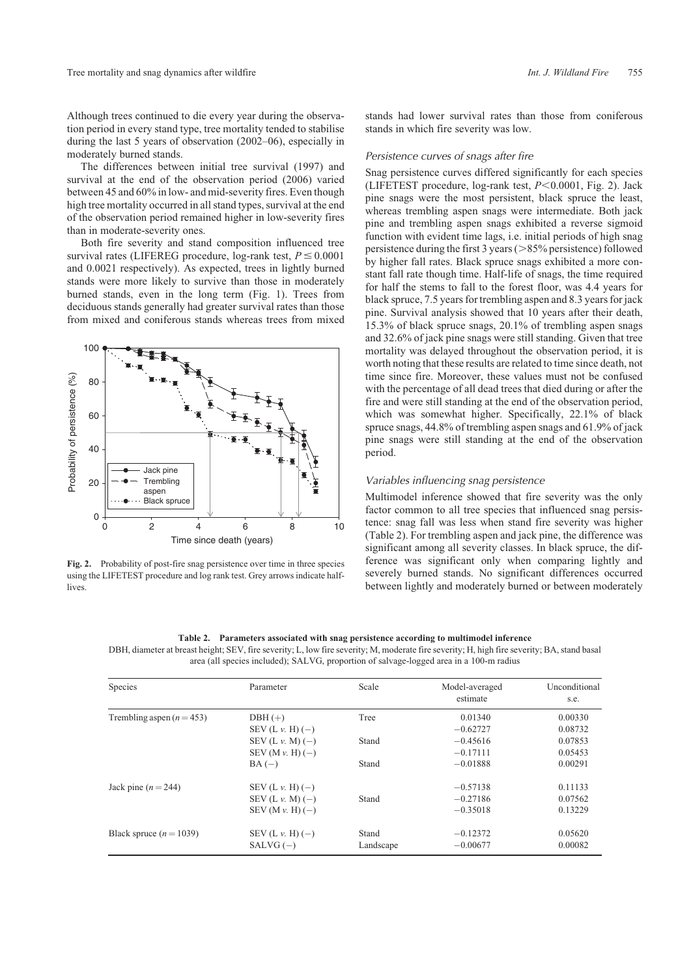Tree mortality and snag dynamics after wildfire *Int. J. Wildland Fire* 755

Although trees continued to die every year during the observation period in every stand type, tree mortality tended to stabilise during the last 5 years of observation (2002–06), especially in moderately burned stands.

The differences between initial tree survival (1997) and survival at the end of the observation period (2006) varied between 45 and 60% in low- and mid-severity fires. Even though high tree mortality occurred in all stand types, survival at the end of the observation period remained higher in low-severity fires than in moderate-severity ones.

Both fire severity and stand composition influenced tree survival rates (LIFEREG procedure, log-rank test,  $P \le 0.0001$ and 0.0021 respectively). As expected, trees in lightly burned stands were more likely to survive than those in moderately burned stands, even in the long term (Fig. 1). Trees from deciduous stands generally had greater survival rates than those from mixed and coniferous stands whereas trees from mixed



**Fig. 2.** Probability of post-fire snag persistence over time in three species using the LIFETEST procedure and log rank test. Grey arrows indicate half**lives** 

stands had lower survival rates than those from coniferous stands in which fire severity was low.

#### Persistence curves of snags after fire

Snag persistence curves differed significantly for each species (LIFETEST procedure,  $log$ -rank test,  $P \le 0.0001$ , Fig. 2). Jack pine snags were the most persistent, black spruce the least, whereas trembling aspen snags were intermediate. Both jack pine and trembling aspen snags exhibited a reverse sigmoid function with evident time lags, i.e. initial periods of high snag persistence during the first  $3$  years ( $>85\%$  persistence) followed by higher fall rates. Black spruce snags exhibited a more constant fall rate though time. Half-life of snags, the time required for half the stems to fall to the forest floor, was 4.4 years for black spruce, 7.5 years for trembling aspen and 8.3 years for jack pine. Survival analysis showed that 10 years after their death, 15.3% of black spruce snags, 20.1% of trembling aspen snags and 32.6% of jack pine snags were still standing. Given that tree mortality was delayed throughout the observation period, it is worth noting that these results are related to time since death, not time since fire. Moreover, these values must not be confused with the percentage of all dead trees that died during or after the fire and were still standing at the end of the observation period, which was somewhat higher. Specifically, 22.1% of black spruce snags, 44.8% of trembling aspen snags and 61.9% of jack pine snags were still standing at the end of the observation period.

# Variables influencing snag persistence

Multimodel inference showed that fire severity was the only factor common to all tree species that influenced snag persistence: snag fall was less when stand fire severity was higher (Table 2). For trembling aspen and jack pine, the difference was significant among all severity classes. In black spruce, the difference was significant only when comparing lightly and severely burned stands. No significant differences occurred between lightly and moderately burned or between moderately

#### **Table 2. Parameters associated with snag persistence according to multimodel inference**

DBH, diameter at breast height; SEV, fire severity; L, low fire severity; M, moderate fire severity; H, high fire severity; BA, stand basal area (all species included); SALVG, proportion of salvage-logged area in a 100-m radius

| Species                     | Parameter             | Scale     | Model-averaged<br>estimate | Unconditional<br>s.e. |
|-----------------------------|-----------------------|-----------|----------------------------|-----------------------|
| Trembling aspen $(n = 453)$ | $DBH (+)$             | Tree      | 0.01340                    | 0.00330               |
|                             | $SEV$ (L v. H) (-)    |           | $-0.62727$                 | 0.08732               |
|                             | SEV $(L v, M) (-)$    | Stand     | $-0.45616$                 | 0.07853               |
|                             | SEV (M $\nu$ , H) (-) |           | $-0.17111$                 | 0.05453               |
|                             | $BA(-)$               | Stand     | $-0.01888$                 | 0.00291               |
| Jack pine $(n = 244)$       | $SEV$ (L v. H) (-)    |           | $-0.57138$                 | 0.11133               |
|                             | SEV $(L v. M) (-)$    | Stand     | $-0.27186$                 | 0.07562               |
|                             | SEV (M $\nu$ , H) (-) |           | $-0.35018$                 | 0.13229               |
| Black spruce $(n = 1039)$   | SEV $(L v. H) (-)$    | Stand     | $-0.12372$                 | 0.05620               |
|                             | $SALVG(-)$            | Landscape | $-0.00677$                 | 0.00082               |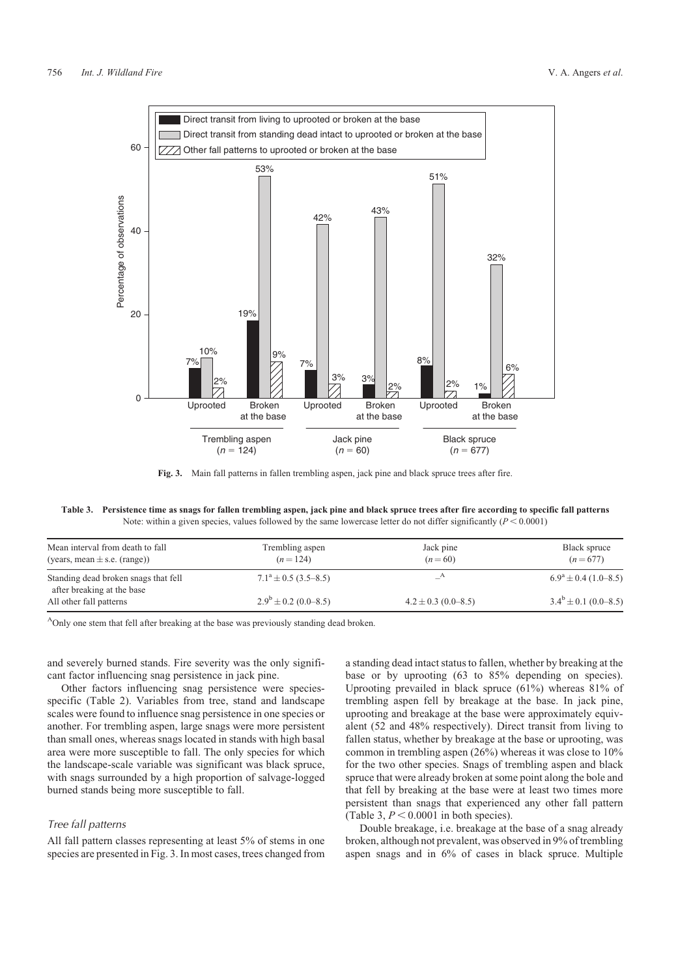

**Fig. 3.** Main fall patterns in fallen trembling aspen, jack pine and black spruce trees after fire.

| Table 3. Persistence time as snags for fallen trembling aspen, jack pine and black spruce trees after fire according to specific fall patterns |
|------------------------------------------------------------------------------------------------------------------------------------------------|
| Note: within a given species, values followed by the same lowercase letter do not differ significantly ( $P < 0.0001$ )                        |

| Mean interval from death to fall<br>(years, mean $\pm$ s.e. (range)) | Trembling aspen<br>$(n=124)$    | Jack pine<br>$(n=60)$   | Black spruce<br>$(n=677)$       |
|----------------------------------------------------------------------|---------------------------------|-------------------------|---------------------------------|
| Standing dead broken snags that fell<br>after breaking at the base   | $7.1^{\circ} \pm 0.5$ (3.5–8.5) | А                       | $6.9^{\rm a} \pm 0.4$ (1.0–8.5) |
| All other fall patterns                                              | $2.9^{\rm b} \pm 0.2$ (0.0–8.5) | $4.2 \pm 0.3$ (0.0–8.5) | $3.4^{\circ} \pm 0.1$ (0.0–8.5) |

<sup>A</sup>Only one stem that fell after breaking at the base was previously standing dead broken.

and severely burned stands. Fire severity was the only significant factor influencing snag persistence in jack pine.

Other factors influencing snag persistence were speciesspecific (Table 2). Variables from tree, stand and landscape scales were found to influence snag persistence in one species or another. For trembling aspen, large snags were more persistent than small ones, whereas snags located in stands with high basal area were more susceptible to fall. The only species for which the landscape-scale variable was significant was black spruce, with snags surrounded by a high proportion of salvage-logged burned stands being more susceptible to fall.

## Tree fall patterns

All fall pattern classes representing at least 5% of stems in one species are presented in Fig. 3. In most cases, trees changed from

a standing dead intact status to fallen, whether by breaking at the base or by uprooting (63 to 85% depending on species). Uprooting prevailed in black spruce (61%) whereas 81% of trembling aspen fell by breakage at the base. In jack pine, uprooting and breakage at the base were approximately equivalent (52 and 48% respectively). Direct transit from living to fallen status, whether by breakage at the base or uprooting, was common in trembling aspen (26%) whereas it was close to 10% for the two other species. Snags of trembling aspen and black spruce that were already broken at some point along the bole and that fell by breaking at the base were at least two times more persistent than snags that experienced any other fall pattern (Table 3,  $P < 0.0001$  in both species).

Double breakage, i.e. breakage at the base of a snag already broken, although not prevalent, was observed in 9% of trembling aspen snags and in 6% of cases in black spruce. Multiple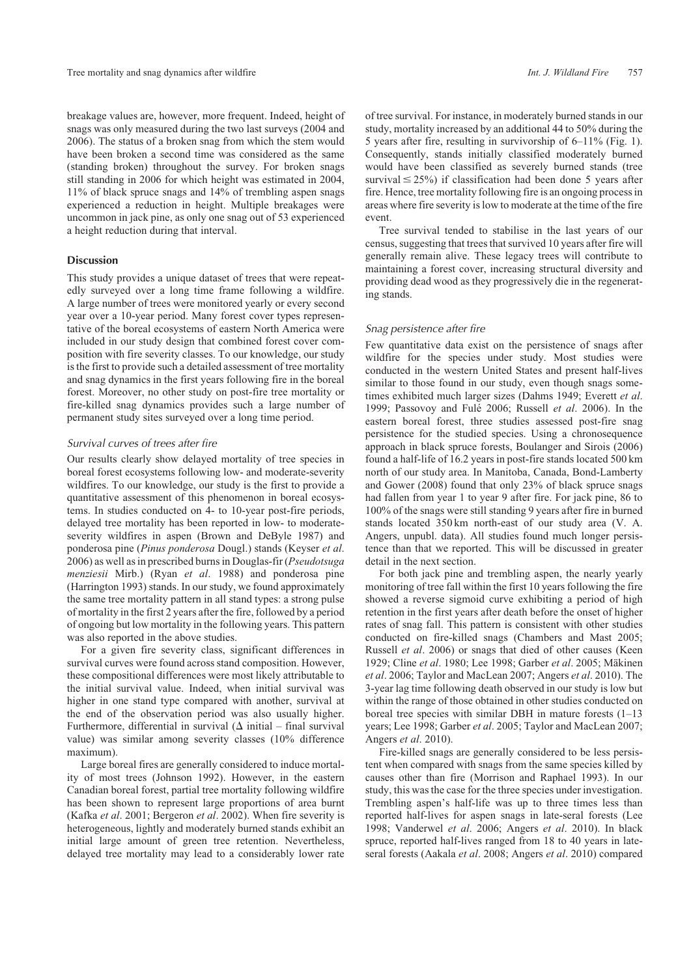breakage values are, however, more frequent. Indeed, height of snags was only measured during the two last surveys (2004 and 2006). The status of a broken snag from which the stem would have been broken a second time was considered as the same (standing broken) throughout the survey. For broken snags still standing in 2006 for which height was estimated in 2004, 11% of black spruce snags and 14% of trembling aspen snags experienced a reduction in height. Multiple breakages were uncommon in jack pine, as only one snag out of 53 experienced a height reduction during that interval.

## **Discussion**

This study provides a unique dataset of trees that were repeatedly surveyed over a long time frame following a wildfire. A large number of trees were monitored yearly or every second year over a 10-year period. Many forest cover types representative of the boreal ecosystems of eastern North America were included in our study design that combined forest cover composition with fire severity classes. To our knowledge, our study is the first to provide such a detailed assessment of tree mortality and snag dynamics in the first years following fire in the boreal forest. Moreover, no other study on post-fire tree mortality or fire-killed snag dynamics provides such a large number of permanent study sites surveyed over a long time period.

# Survival curves of trees after fire

Our results clearly show delayed mortality of tree species in boreal forest ecosystems following low- and moderate-severity wildfires. To our knowledge, our study is the first to provide a quantitative assessment of this phenomenon in boreal ecosystems. In studies conducted on 4- to 10-year post-fire periods, delayed tree mortality has been reported in low- to moderateseverity wildfires in aspen (Brown and DeByle 1987) and ponderosa pine (*Pinus ponderosa* Dougl.) stands (Keyser *et al*. 2006) as well as in prescribed burns in Douglas-fir (*Pseudotsuga menziesii* Mirb.) (Ryan *et al*. 1988) and ponderosa pine (Harrington 1993) stands. In our study, we found approximately the same tree mortality pattern in all stand types: a strong pulse of mortality in the first 2 years after the fire, followed by a period of ongoing but low mortality in the following years. This pattern was also reported in the above studies.

For a given fire severity class, significant differences in survival curves were found across stand composition. However, these compositional differences were most likely attributable to the initial survival value. Indeed, when initial survival was higher in one stand type compared with another, survival at the end of the observation period was also usually higher. Furthermore, differential in survival  $(\Delta$  initial – final survival value) was similar among severity classes (10% difference maximum).

Large boreal fires are generally considered to induce mortality of most trees (Johnson 1992). However, in the eastern Canadian boreal forest, partial tree mortality following wildfire has been shown to represent large proportions of area burnt (Kafka *et al*. 2001; Bergeron *et al*. 2002). When fire severity is heterogeneous, lightly and moderately burned stands exhibit an initial large amount of green tree retention. Nevertheless, delayed tree mortality may lead to a considerably lower rate of tree survival. For instance, in moderately burned stands in our study, mortality increased by an additional 44 to 50% during the 5 years after fire, resulting in survivorship of 6–11% (Fig. 1). Consequently, stands initially classified moderately burned would have been classified as severely burned stands (tree survival  $\leq$  25%) if classification had been done 5 years after fire. Hence, tree mortality following fire is an ongoing process in areas where fire severity is low to moderate at the time of the fire event.

Tree survival tended to stabilise in the last years of our census, suggesting that trees that survived 10 years after fire will generally remain alive. These legacy trees will contribute to maintaining a forest cover, increasing structural diversity and providing dead wood as they progressively die in the regenerating stands.

## Snag persistence after fire

Few quantitative data exist on the persistence of snags after wildfire for the species under study. Most studies were conducted in the western United States and present half-lives similar to those found in our study, even though snags sometimes exhibited much larger sizes (Dahms 1949; Everett *et al*. 1999; Passovoy and Fule´ 2006; Russell *et al*. 2006). In the eastern boreal forest, three studies assessed post-fire snag persistence for the studied species. Using a chronosequence approach in black spruce forests, Boulanger and Sirois (2006) found a half-life of 16.2 years in post-fire stands located 500 km north of our study area. In Manitoba, Canada, Bond-Lamberty and Gower (2008) found that only 23% of black spruce snags had fallen from year 1 to year 9 after fire. For jack pine, 86 to 100% of the snags were still standing 9 years after fire in burned stands located 350 km north-east of our study area (V. A. Angers, unpubl. data). All studies found much longer persistence than that we reported. This will be discussed in greater detail in the next section.

For both jack pine and trembling aspen, the nearly yearly monitoring of tree fall within the first 10 years following the fire showed a reverse sigmoid curve exhibiting a period of high retention in the first years after death before the onset of higher rates of snag fall. This pattern is consistent with other studies conducted on fire-killed snags (Chambers and Mast 2005; Russell *et al*. 2006) or snags that died of other causes (Keen 1929; Cline et al. 1980; Lee 1998; Garber et al. 2005; Mäkinen *et al*. 2006; Taylor and MacLean 2007; Angers *et al*. 2010). The 3-year lag time following death observed in our study is low but within the range of those obtained in other studies conducted on boreal tree species with similar DBH in mature forests (1–13 years; Lee 1998; Garber *et al*. 2005; Taylor and MacLean 2007; Angers *et al*. 2010).

Fire-killed snags are generally considered to be less persistent when compared with snags from the same species killed by causes other than fire (Morrison and Raphael 1993). In our study, this was the case for the three species under investigation. Trembling aspen's half-life was up to three times less than reported half-lives for aspen snags in late-seral forests (Lee 1998; Vanderwel *et al*. 2006; Angers *et al*. 2010). In black spruce, reported half-lives ranged from 18 to 40 years in lateseral forests (Aakala *et al*. 2008; Angers *et al*. 2010) compared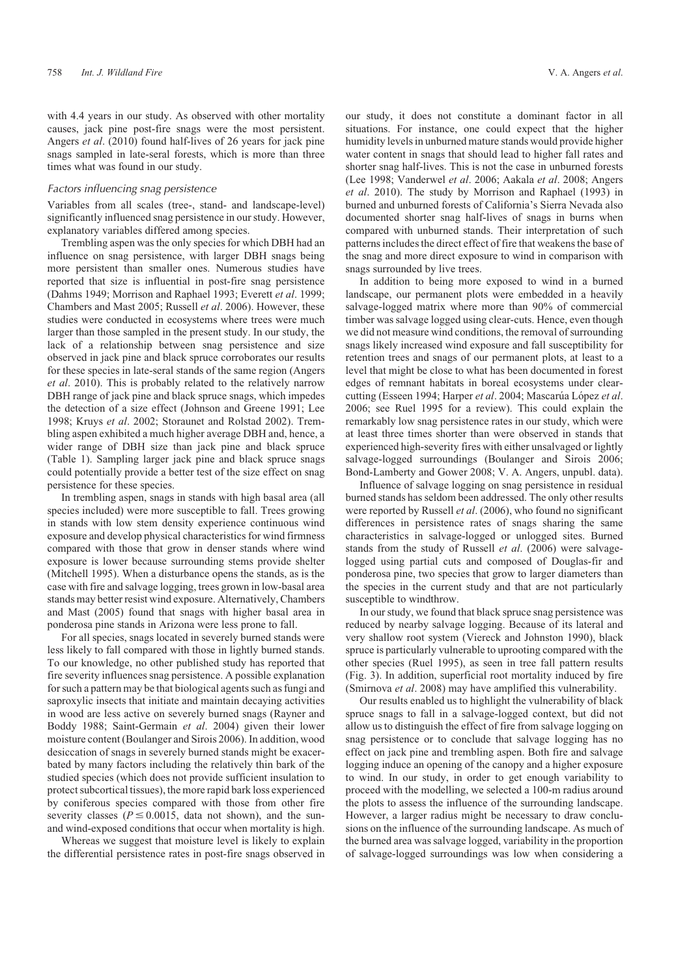with 4.4 years in our study. As observed with other mortality causes, jack pine post-fire snags were the most persistent. Angers *et al*. (2010) found half-lives of 26 years for jack pine snags sampled in late-seral forests, which is more than three times what was found in our study.

#### Factors influencing snag persistence

Variables from all scales (tree-, stand- and landscape-level) significantly influenced snag persistence in our study. However, explanatory variables differed among species.

Trembling aspen was the only species for which DBH had an influence on snag persistence, with larger DBH snags being more persistent than smaller ones. Numerous studies have reported that size is influential in post-fire snag persistence (Dahms 1949; Morrison and Raphael 1993; Everett *et al*. 1999; Chambers and Mast 2005; Russell *et al*. 2006). However, these studies were conducted in ecosystems where trees were much larger than those sampled in the present study. In our study, the lack of a relationship between snag persistence and size observed in jack pine and black spruce corroborates our results for these species in late-seral stands of the same region (Angers *et al*. 2010). This is probably related to the relatively narrow DBH range of jack pine and black spruce snags, which impedes the detection of a size effect (Johnson and Greene 1991; Lee 1998; Kruys *et al*. 2002; Storaunet and Rolstad 2002). Trembling aspen exhibited a much higher average DBH and, hence, a wider range of DBH size than jack pine and black spruce (Table 1). Sampling larger jack pine and black spruce snags could potentially provide a better test of the size effect on snag persistence for these species.

In trembling aspen, snags in stands with high basal area (all species included) were more susceptible to fall. Trees growing in stands with low stem density experience continuous wind exposure and develop physical characteristics for wind firmness compared with those that grow in denser stands where wind exposure is lower because surrounding stems provide shelter (Mitchell 1995). When a disturbance opens the stands, as is the case with fire and salvage logging, trees grown in low-basal area stands may better resist wind exposure. Alternatively, Chambers and Mast (2005) found that snags with higher basal area in ponderosa pine stands in Arizona were less prone to fall.

For all species, snags located in severely burned stands were less likely to fall compared with those in lightly burned stands. To our knowledge, no other published study has reported that fire severity influences snag persistence. A possible explanation for such a pattern may be that biological agents such as fungi and saproxylic insects that initiate and maintain decaying activities in wood are less active on severely burned snags (Rayner and Boddy 1988; Saint-Germain *et al*. 2004) given their lower moisture content (Boulanger and Sirois 2006). In addition, wood desiccation of snags in severely burned stands might be exacerbated by many factors including the relatively thin bark of the studied species (which does not provide sufficient insulation to protect subcortical tissues), the more rapid bark loss experienced by coniferous species compared with those from other fire severity classes ( $P \le 0.0015$ , data not shown), and the sunand wind-exposed conditions that occur when mortality is high.

Whereas we suggest that moisture level is likely to explain the differential persistence rates in post-fire snags observed in our study, it does not constitute a dominant factor in all situations. For instance, one could expect that the higher humidity levels in unburned mature stands would provide higher water content in snags that should lead to higher fall rates and shorter snag half-lives. This is not the case in unburned forests (Lee 1998; Vanderwel *et al*. 2006; Aakala *et al*. 2008; Angers *et al*. 2010). The study by Morrison and Raphael (1993) in burned and unburned forests of California's Sierra Nevada also documented shorter snag half-lives of snags in burns when compared with unburned stands. Their interpretation of such patterns includes the direct effect of fire that weakens the base of the snag and more direct exposure to wind in comparison with snags surrounded by live trees.

In addition to being more exposed to wind in a burned landscape, our permanent plots were embedded in a heavily salvage-logged matrix where more than 90% of commercial timber was salvage logged using clear-cuts. Hence, even though we did not measure wind conditions, the removal of surrounding snags likely increased wind exposure and fall susceptibility for retention trees and snags of our permanent plots, at least to a level that might be close to what has been documented in forest edges of remnant habitats in boreal ecosystems under clearcutting (Esseen 1994; Harper *et al.* 2004; Mascarúa López *et al.* 2006; see Ruel 1995 for a review). This could explain the remarkably low snag persistence rates in our study, which were at least three times shorter than were observed in stands that experienced high-severity fires with either unsalvaged or lightly salvage-logged surroundings (Boulanger and Sirois 2006; Bond-Lamberty and Gower 2008; V. A. Angers, unpubl. data).

Influence of salvage logging on snag persistence in residual burned stands has seldom been addressed. The only other results were reported by Russell *et al*. (2006), who found no significant differences in persistence rates of snags sharing the same characteristics in salvage-logged or unlogged sites. Burned stands from the study of Russell *et al*. (2006) were salvagelogged using partial cuts and composed of Douglas-fir and ponderosa pine, two species that grow to larger diameters than the species in the current study and that are not particularly susceptible to windthrow.

In our study, we found that black spruce snag persistence was reduced by nearby salvage logging. Because of its lateral and very shallow root system (Viereck and Johnston 1990), black spruce is particularly vulnerable to uprooting compared with the other species (Ruel 1995), as seen in tree fall pattern results (Fig. 3). In addition, superficial root mortality induced by fire (Smirnova *et al*. 2008) may have amplified this vulnerability.

Our results enabled us to highlight the vulnerability of black spruce snags to fall in a salvage-logged context, but did not allow us to distinguish the effect of fire from salvage logging on snag persistence or to conclude that salvage logging has no effect on jack pine and trembling aspen. Both fire and salvage logging induce an opening of the canopy and a higher exposure to wind. In our study, in order to get enough variability to proceed with the modelling, we selected a 100-m radius around the plots to assess the influence of the surrounding landscape. However, a larger radius might be necessary to draw conclusions on the influence of the surrounding landscape. As much of the burned area was salvage logged, variability in the proportion of salvage-logged surroundings was low when considering a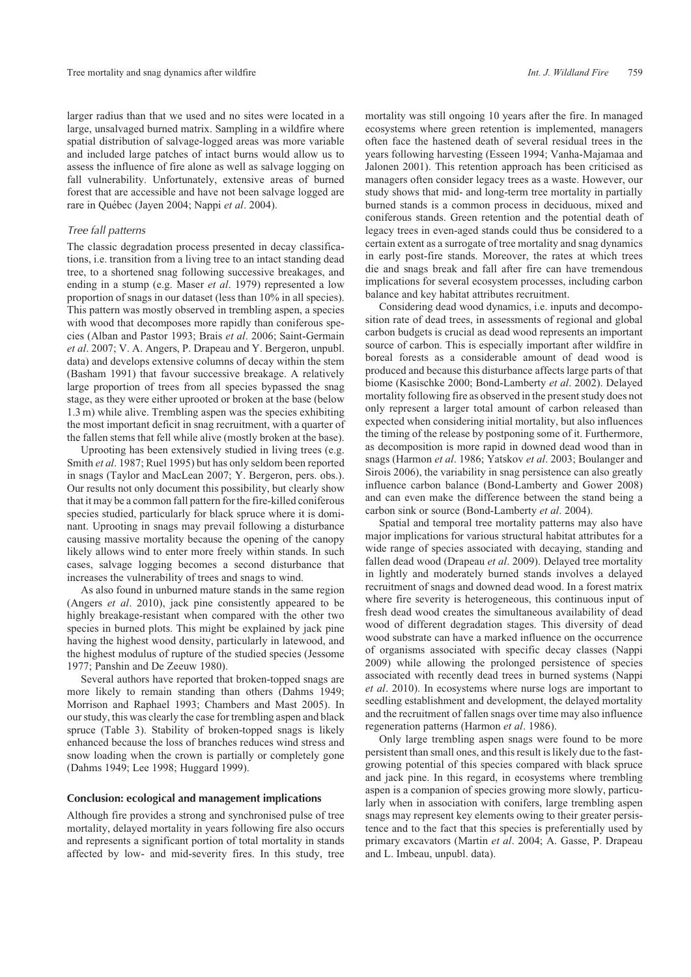larger radius than that we used and no sites were located in a large, unsalvaged burned matrix. Sampling in a wildfire where spatial distribution of salvage-logged areas was more variable and included large patches of intact burns would allow us to assess the influence of fire alone as well as salvage logging on fall vulnerability. Unfortunately, extensive areas of burned forest that are accessible and have not been salvage logged are rare in Québec (Jayen 2004; Nappi et al. 2004).

## Tree fall patterns

The classic degradation process presented in decay classifications, i.e. transition from a living tree to an intact standing dead tree, to a shortened snag following successive breakages, and ending in a stump (e.g. Maser *et al*. 1979) represented a low proportion of snags in our dataset (less than 10% in all species). This pattern was mostly observed in trembling aspen, a species with wood that decomposes more rapidly than coniferous species (Alban and Pastor 1993; Brais *et al*. 2006; Saint-Germain *et al*. 2007; V. A. Angers, P. Drapeau and Y. Bergeron, unpubl. data) and develops extensive columns of decay within the stem (Basham 1991) that favour successive breakage. A relatively large proportion of trees from all species bypassed the snag stage, as they were either uprooted or broken at the base (below 1.3 m) while alive. Trembling aspen was the species exhibiting the most important deficit in snag recruitment, with a quarter of the fallen stems that fell while alive (mostly broken at the base).

Uprooting has been extensively studied in living trees (e.g. Smith *et al*. 1987; Ruel 1995) but has only seldom been reported in snags (Taylor and MacLean 2007; Y. Bergeron, pers. obs.). Our results not only document this possibility, but clearly show that it may be a common fall pattern for the fire-killed coniferous species studied, particularly for black spruce where it is dominant. Uprooting in snags may prevail following a disturbance causing massive mortality because the opening of the canopy likely allows wind to enter more freely within stands. In such cases, salvage logging becomes a second disturbance that increases the vulnerability of trees and snags to wind.

As also found in unburned mature stands in the same region (Angers *et al*. 2010), jack pine consistently appeared to be highly breakage-resistant when compared with the other two species in burned plots. This might be explained by jack pine having the highest wood density, particularly in latewood, and the highest modulus of rupture of the studied species (Jessome 1977; Panshin and De Zeeuw 1980).

Several authors have reported that broken-topped snags are more likely to remain standing than others (Dahms 1949; Morrison and Raphael 1993; Chambers and Mast 2005). In our study, this was clearly the case for trembling aspen and black spruce (Table 3). Stability of broken-topped snags is likely enhanced because the loss of branches reduces wind stress and snow loading when the crown is partially or completely gone (Dahms 1949; Lee 1998; Huggard 1999).

## Conclusion: ecological and management implications

Although fire provides a strong and synchronised pulse of tree mortality, delayed mortality in years following fire also occurs and represents a significant portion of total mortality in stands affected by low- and mid-severity fires. In this study, tree mortality was still ongoing 10 years after the fire. In managed ecosystems where green retention is implemented, managers often face the hastened death of several residual trees in the years following harvesting (Esseen 1994; Vanha-Majamaa and Jalonen 2001). This retention approach has been criticised as managers often consider legacy trees as a waste. However, our study shows that mid- and long-term tree mortality in partially burned stands is a common process in deciduous, mixed and coniferous stands. Green retention and the potential death of legacy trees in even-aged stands could thus be considered to a certain extent as a surrogate of tree mortality and snag dynamics in early post-fire stands. Moreover, the rates at which trees die and snags break and fall after fire can have tremendous implications for several ecosystem processes, including carbon balance and key habitat attributes recruitment.

Considering dead wood dynamics, i.e. inputs and decomposition rate of dead trees, in assessments of regional and global carbon budgets is crucial as dead wood represents an important source of carbon. This is especially important after wildfire in boreal forests as a considerable amount of dead wood is produced and because this disturbance affects large parts of that biome (Kasischke 2000; Bond-Lamberty *et al*. 2002). Delayed mortality following fire as observed in the present study does not only represent a larger total amount of carbon released than expected when considering initial mortality, but also influences the timing of the release by postponing some of it. Furthermore, as decomposition is more rapid in downed dead wood than in snags (Harmon *et al*. 1986; Yatskov *et al*. 2003; Boulanger and Sirois 2006), the variability in snag persistence can also greatly influence carbon balance (Bond-Lamberty and Gower 2008) and can even make the difference between the stand being a carbon sink or source (Bond-Lamberty *et al*. 2004).

Spatial and temporal tree mortality patterns may also have major implications for various structural habitat attributes for a wide range of species associated with decaying, standing and fallen dead wood (Drapeau *et al*. 2009). Delayed tree mortality in lightly and moderately burned stands involves a delayed recruitment of snags and downed dead wood. In a forest matrix where fire severity is heterogeneous, this continuous input of fresh dead wood creates the simultaneous availability of dead wood of different degradation stages. This diversity of dead wood substrate can have a marked influence on the occurrence of organisms associated with specific decay classes (Nappi 2009) while allowing the prolonged persistence of species associated with recently dead trees in burned systems (Nappi *et al*. 2010). In ecosystems where nurse logs are important to seedling establishment and development, the delayed mortality and the recruitment of fallen snags over time may also influence regeneration patterns (Harmon *et al*. 1986).

Only large trembling aspen snags were found to be more persistent than small ones, and this result is likely due to the fastgrowing potential of this species compared with black spruce and jack pine. In this regard, in ecosystems where trembling aspen is a companion of species growing more slowly, particularly when in association with conifers, large trembling aspen snags may represent key elements owing to their greater persistence and to the fact that this species is preferentially used by primary excavators (Martin *et al*. 2004; A. Gasse, P. Drapeau and L. Imbeau, unpubl. data).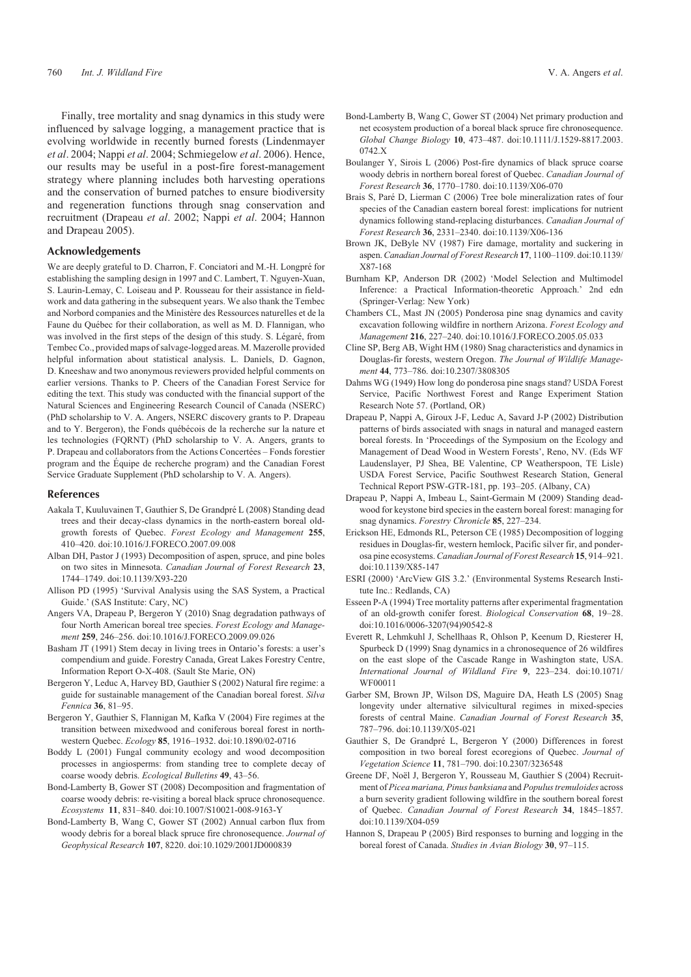Finally, tree mortality and snag dynamics in this study were influenced by salvage logging, a management practice that is evolving worldwide in recently burned forests (Lindenmayer *et al*. 2004; Nappi *et al*. 2004; Schmiegelow *et al*. 2006). Hence, our results may be useful in a post-fire forest-management strategy where planning includes both harvesting operations and the conservation of burned patches to ensure biodiversity and regeneration functions through snag conservation and recruitment (Drapeau *et al*. 2002; Nappi *et al*. 2004; Hannon and Drapeau 2005).

## Acknowledgements

We are deeply grateful to D. Charron, F. Conciatori and M.-H. Longpré for establishing the sampling design in 1997 and C. Lambert, T. Nguyen-Xuan, S. Laurin-Lemay, C. Loiseau and P. Rousseau for their assistance in fieldwork and data gathering in the subsequent years. We also thank the Tembec and Norbord companies and the Ministère des Ressources naturelles et de la Faune du Québec for their collaboration, as well as M. D. Flannigan, who was involved in the first steps of the design of this study. S. Légaré, from Tembec Co., provided maps of salvage-logged areas. M. Mazerolle provided helpful information about statistical analysis. L. Daniels, D. Gagnon, D. Kneeshaw and two anonymous reviewers provided helpful comments on earlier versions. Thanks to P. Cheers of the Canadian Forest Service for editing the text. This study was conducted with the financial support of the Natural Sciences and Engineering Research Council of Canada (NSERC) (PhD scholarship to V. A. Angers, NSERC discovery grants to P. Drapeau and to Y. Bergeron), the Fonds québécois de la recherche sur la nature et les technologies (FQRNT) (PhD scholarship to V. A. Angers, grants to P. Drapeau and collaborators from the Actions Concertées – Fonds forestier program and the Équipe de recherche program) and the Canadian Forest Service Graduate Supplement (PhD scholarship to V. A. Angers).

#### References

- Aakala T, Kuuluvainen T, Gauthier S, De Grandpré L (2008) Standing dead trees and their decay-class dynamics in the north-eastern boreal oldgrowth forests of Quebec. *Forest Ecology and Management* **255**, 410–420. doi:10.1016/J.FORECO.2007.09.008
- Alban DH, Pastor J (1993) Decomposition of aspen, spruce, and pine boles on two sites in Minnesota. *Canadian Journal of Forest Research* **23**, 1744–1749. doi:10.1139/X93-220
- Allison PD (1995) 'Survival Analysis using the SAS System, a Practical Guide.' (SAS Institute: Cary, NC)
- Angers VA, Drapeau P, Bergeron Y (2010) Snag degradation pathways of four North American boreal tree species. *Forest Ecology and Management* **259**, 246–256. doi:10.1016/J.FORECO.2009.09.026
- Basham JT (1991) Stem decay in living trees in Ontario's forests: a user's compendium and guide. Forestry Canada, Great Lakes Forestry Centre, Information Report O-X-408. (Sault Ste Marie, ON)
- Bergeron Y, Leduc A, Harvey BD, Gauthier S (2002) Natural fire regime: a guide for sustainable management of the Canadian boreal forest. *Silva Fennica* **36**, 81–95.
- Bergeron Y, Gauthier S, Flannigan M, Kafka V (2004) Fire regimes at the transition between mixedwood and coniferous boreal forest in northwestern Quebec. *Ecology* **85**, 1916–1932. doi:10.1890/02-0716
- Boddy L (2001) Fungal community ecology and wood decomposition processes in angiosperms: from standing tree to complete decay of coarse woody debris. *Ecological Bulletins* **49**, 43–56.
- Bond-Lamberty B, Gower ST (2008) Decomposition and fragmentation of coarse woody debris: re-visiting a boreal black spruce chronosequence. *Ecosystems* **11**, 831–840. doi:10.1007/S10021-008-9163-Y
- Bond-Lamberty B, Wang C, Gower ST (2002) Annual carbon flux from woody debris for a boreal black spruce fire chronosequence. *Journal of Geophysical Research* **107**, 8220. doi:10.1029/2001JD000839
- Bond-Lamberty B, Wang C, Gower ST (2004) Net primary production and net ecosystem production of a boreal black spruce fire chronosequence. *Global Change Biology* **10**, 473–487. doi:10.1111/J.1529-8817.2003. 0742 X
- Boulanger Y, Sirois L (2006) Post-fire dynamics of black spruce coarse woody debris in northern boreal forest of Quebec. *Canadian Journal of Forest Research* **36**, 1770–1780. doi:10.1139/X06-070
- Brais S, Paré D, Lierman C (2006) Tree bole mineralization rates of four species of the Canadian eastern boreal forest: implications for nutrient dynamics following stand-replacing disturbances. *Canadian Journal of Forest Research* **36**, 2331–2340. doi:10.1139/X06-136
- Brown JK, DeByle NV (1987) Fire damage, mortality and suckering in aspen. *Canadian Journal of Forest Research* **17**, 1100–1109. doi:10.1139/ X87-168
- Burnham KP, Anderson DR (2002) 'Model Selection and Multimodel Inference: a Practical Information-theoretic Approach.' 2nd edn (Springer-Verlag: New York)
- Chambers CL, Mast JN (2005) Ponderosa pine snag dynamics and cavity excavation following wildfire in northern Arizona. *Forest Ecology and Management* **216**, 227–240. doi:10.1016/J.FORECO.2005.05.033
- Cline SP, Berg AB, Wight HM (1980) Snag characteristics and dynamics in Douglas-fir forests, western Oregon. *The Journal of Wildlife Management* **44**, 773–786. doi:10.2307/3808305
- Dahms WG (1949) How long do ponderosa pine snags stand? USDA Forest Service, Pacific Northwest Forest and Range Experiment Station Research Note 57. (Portland, OR)
- Drapeau P, Nappi A, Giroux J-F, Leduc A, Savard J-P (2002) Distribution patterns of birds associated with snags in natural and managed eastern boreal forests. In 'Proceedings of the Symposium on the Ecology and Management of Dead Wood in Western Forests', Reno, NV. (Eds WF Laudenslayer, PJ Shea, BE Valentine, CP Weatherspoon, TE Lisle) USDA Forest Service, Pacific Southwest Research Station, General Technical Report PSW-GTR-181, pp. 193–205. (Albany, CA)
- Drapeau P, Nappi A, Imbeau L, Saint-Germain M (2009) Standing deadwood for keystone bird species in the eastern boreal forest: managing for snag dynamics. *Forestry Chronicle* **85**, 227–234.
- Erickson HE, Edmonds RL, Peterson CE (1985) Decomposition of logging residues in Douglas-fir, western hemlock, Pacific silver fir, and ponderosa pine ecosystems. *Canadian Journal of Forest Research* **15**, 914–921. doi:10.1139/X85-147
- ESRI (2000) 'ArcView GIS 3.2.' (Environmental Systems Research Institute Inc.: Redlands, CA)
- Esseen P-A (1994) Tree mortality patterns after experimental fragmentation of an old-growth conifer forest. *Biological Conservation* **68**, 19–28. doi:10.1016/0006-3207(94)90542-8
- Everett R, Lehmkuhl J, Schellhaas R, Ohlson P, Keenum D, Riesterer H, Spurbeck D (1999) Snag dynamics in a chronosequence of 26 wildfires on the east slope of the Cascade Range in Washington state, USA. *International Journal of Wildland Fire* **9**, 223–234. doi:10.1071/ WF00011
- Garber SM, Brown JP, Wilson DS, Maguire DA, Heath LS (2005) Snag longevity under alternative silvicultural regimes in mixed-species forests of central Maine. *Canadian Journal of Forest Research* **35**, 787–796. doi:10.1139/X05-021
- Gauthier S, De Grandpré L, Bergeron Y (2000) Differences in forest composition in two boreal forest ecoregions of Quebec. *Journal of Vegetation Science* **11**, 781–790. doi:10.2307/3236548
- Greene DF, Noël J, Bergeron Y, Rousseau M, Gauthier S (2004) Recruitment of *Picea mariana, Pinus banksiana* and *Populus tremuloides* across a burn severity gradient following wildfire in the southern boreal forest of Quebec. *Canadian Journal of Forest Research* **34**, 1845–1857. doi:10.1139/X04-059
- Hannon S, Drapeau P (2005) Bird responses to burning and logging in the boreal forest of Canada. *Studies in Avian Biology* **30**, 97–115.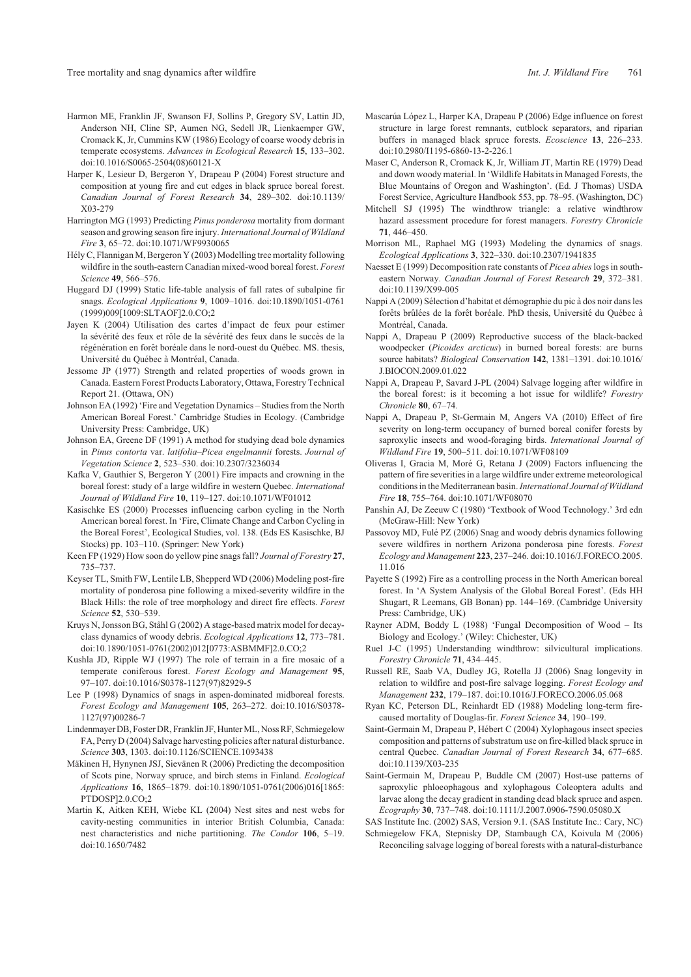- Harmon ME, Franklin JF, Swanson FJ, Sollins P, Gregory SV, Lattin JD, Anderson NH, Cline SP, Aumen NG, Sedell JR, Lienkaemper GW, Cromack K, Jr, Cummins KW (1986) Ecology of coarse woody debris in temperate ecosystems. *Advances in Ecological Research* **15**, 133–302. doi:10.1016/S0065-2504(08)60121-X
- Harper K, Lesieur D, Bergeron Y, Drapeau P (2004) Forest structure and composition at young fire and cut edges in black spruce boreal forest. *Canadian Journal of Forest Research* **34**, 289–302. doi:10.1139/ X03-279
- Harrington MG (1993) Predicting *Pinus ponderosa* mortality from dormant season and growing season fire injury.*International Journal of Wildland Fire* **3**, 65–72. doi:10.1071/WF9930065
- Hély C, Flannigan M, Bergeron Y (2003) Modelling tree mortality following wildfire in the south-eastern Canadian mixed-wood boreal forest. *Forest Science* **49**, 566–576.
- Huggard DJ (1999) Static life-table analysis of fall rates of subalpine fir snags. *Ecological Applications* **9**, 1009–1016. doi:10.1890/1051-0761 (1999)009[1009:SLTAOF]2.0.CO;2
- Jayen K (2004) Utilisation des cartes d'impact de feux pour estimer la sévérité des feux et rôle de la sévérité des feux dans le succès de la régénération en forêt boréale dans le nord-ouest du Québec. MS. thesis, Université du Québec à Montréal, Canada.
- Jessome JP (1977) Strength and related properties of woods grown in Canada. Eastern Forest Products Laboratory, Ottawa, Forestry Technical Report 21. (Ottawa, ON)
- Johnson EA (1992) 'Fire and Vegetation Dynamics Studies from the North American Boreal Forest.' Cambridge Studies in Ecology. (Cambridge University Press: Cambridge, UK)
- Johnson EA, Greene DF (1991) A method for studying dead bole dynamics in *Pinus contorta* var. *latifolia*–*Picea engelmannii* forests. *Journal of Vegetation Science* **2**, 523–530. doi:10.2307/3236034
- Kafka V, Gauthier S, Bergeron Y (2001) Fire impacts and crowning in the boreal forest: study of a large wildfire in western Quebec. *International Journal of Wildland Fire* **10**, 119–127. doi:10.1071/WF01012
- Kasischke ES (2000) Processes influencing carbon cycling in the North American boreal forest. In 'Fire, Climate Change and Carbon Cycling in the Boreal Forest', Ecological Studies, vol. 138. (Eds ES Kasischke, BJ Stocks) pp. 103–110. (Springer: New York)
- Keen FP (1929) How soon do yellow pine snags fall? *Journal of Forestry* **27**, 735–737.
- Keyser TL, Smith FW, Lentile LB, Shepperd WD (2006) Modeling post-fire mortality of ponderosa pine following a mixed-severity wildfire in the Black Hills: the role of tree morphology and direct fire effects. *Forest Science* **52**, 530–539.
- Kruys N, Jonsson BG, Ståhl G (2002) A stage-based matrix model for decayclass dynamics of woody debris. *Ecological Applications* **12**, 773–781. doi:10.1890/1051-0761(2002)012[0773:ASBMMF]2.0.CO;2
- Kushla JD, Ripple WJ (1997) The role of terrain in a fire mosaic of a temperate coniferous forest. *Forest Ecology and Management* **95**, 97–107. doi:10.1016/S0378-1127(97)82929-5
- Lee P (1998) Dynamics of snags in aspen-dominated midboreal forests. *Forest Ecology and Management* **105**, 263–272. doi:10.1016/S0378- 1127(97)00286-7
- Lindenmayer DB, Foster DR, Franklin JF, Hunter ML, Noss RF, Schmiegelow FA, Perry D (2004) Salvage harvesting policies after natural disturbance. *Science* **303**, 1303. doi:10.1126/SCIENCE.1093438
- Mäkinen H, Hynynen JSJ, Sievänen R (2006) Predicting the decomposition of Scots pine, Norway spruce, and birch stems in Finland. *Ecological Applications* **16**, 1865–1879. doi:10.1890/1051-0761(2006)016[1865: PTDOSP]2.0.CO;2
- Martin K, Aitken KEH, Wiebe KL (2004) Nest sites and nest webs for cavity-nesting communities in interior British Columbia, Canada: nest characteristics and niche partitioning. *The Condor* **106**, 5–19. doi:10.1650/7482
- Mascarúa López L, Harper KA, Drapeau P (2006) Edge influence on forest structure in large forest remnants, cutblock separators, and riparian buffers in managed black spruce forests. *Ecoscience* **13**, 226–233. doi:10.2980/I1195-6860-13-2-226.1
- Maser C, Anderson R, Cromack K, Jr, William JT, Martin RE (1979) Dead and down woody material. In 'Wildlife Habitats in Managed Forests, the Blue Mountains of Oregon and Washington'. (Ed. J Thomas) USDA Forest Service, Agriculture Handbook 553, pp. 78–95. (Washington, DC)
- Mitchell SJ (1995) The windthrow triangle: a relative windthrow hazard assessment procedure for forest managers. *Forestry Chronicle* **71**, 446–450.
- Morrison ML, Raphael MG (1993) Modeling the dynamics of snags. *Ecological Applications* **3**, 322–330. doi:10.2307/1941835
- Naesset E (1999) Decomposition rate constants of *Picea abies*logs in southeastern Norway. *Canadian Journal of Forest Research* **29**, 372–381. doi:10.1139/X99-005
- Nappi A (2009) Sélection d'habitat et démographie du pic à dos noir dans les forêts brûlées de la forêt boréale. PhD thesis, Université du Québec à Montréal, Canada.
- Nappi A, Drapeau P (2009) Reproductive success of the black-backed woodpecker (*Picoides arcticus*) in burned boreal forests: are burns source habitats? *Biological Conservation* **142**, 1381–1391. doi:10.1016/ J.BIOCON.2009.01.022
- Nappi A, Drapeau P, Savard J-PL (2004) Salvage logging after wildfire in the boreal forest: is it becoming a hot issue for wildlife? *Forestry Chronicle* **80**, 67–74.
- Nappi A, Drapeau P, St-Germain M, Angers VA (2010) Effect of fire severity on long-term occupancy of burned boreal conifer forests by saproxylic insects and wood-foraging birds. *International Journal of Wildland Fire* **19**, 500–511. doi:10.1071/WF08109
- Oliveras I, Gracia M, Moré G, Retana J (2009) Factors influencing the pattern of fire severities in a large wildfire under extreme meteorological conditions in the Mediterranean basin.*International Journal of Wildland Fire* **18**, 755–764. doi:10.1071/WF08070
- Panshin AJ, De Zeeuw C (1980) 'Textbook of Wood Technology.' 3rd edn (McGraw-Hill: New York)
- Passovoy MD, Fulé PZ (2006) Snag and woody debris dynamics following severe wildfires in northern Arizona ponderosa pine forests. *Forest Ecology and Management* **223**, 237–246. doi:10.1016/J.FORECO.2005. 11.016
- Payette S (1992) Fire as a controlling process in the North American boreal forest. In 'A System Analysis of the Global Boreal Forest'. (Eds HH Shugart, R Leemans, GB Bonan) pp. 144–169. (Cambridge University Press: Cambridge, UK)
- Rayner ADM, Boddy L (1988) 'Fungal Decomposition of Wood Its Biology and Ecology.' (Wiley: Chichester, UK)
- Ruel J-C (1995) Understanding windthrow: silvicultural implications. *Forestry Chronicle* **71**, 434–445.
- Russell RE, Saab VA, Dudley JG, Rotella JJ (2006) Snag longevity in relation to wildfire and post-fire salvage logging. *Forest Ecology and Management* **232**, 179–187. doi:10.1016/J.FORECO.2006.05.068
- Ryan KC, Peterson DL, Reinhardt ED (1988) Modeling long-term firecaused mortality of Douglas-fir. *Forest Science* **34**, 190–199.
- Saint-Germain M, Drapeau P, Hébert C (2004) Xylophagous insect species composition and patterns of substratum use on fire-killed black spruce in central Quebec. *Canadian Journal of Forest Research* **34**, 677–685. doi:10.1139/X03-235
- Saint-Germain M, Drapeau P, Buddle CM (2007) Host-use patterns of saproxylic phloeophagous and xylophagous Coleoptera adults and larvae along the decay gradient in standing dead black spruce and aspen. *Ecography* **30**, 737–748. doi:10.1111/J.2007.0906-7590.05080.X

SAS Institute Inc. (2002) SAS, Version 9.1. (SAS Institute Inc.: Cary, NC)

Schmiegelow FKA, Stepnisky DP, Stambaugh CA, Koivula M (2006) Reconciling salvage logging of boreal forests with a natural-disturbance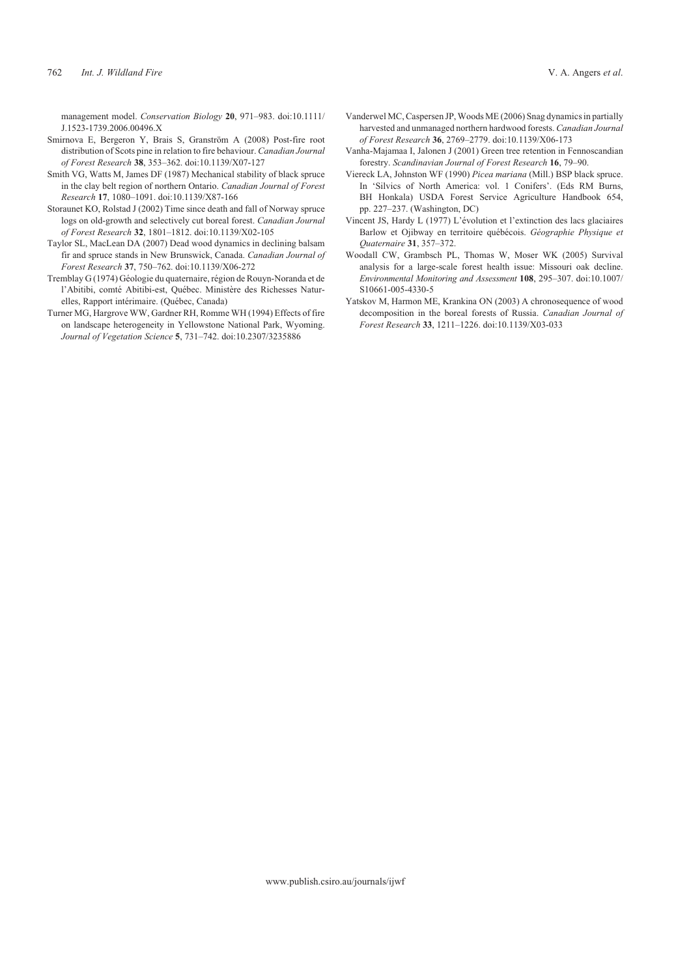management model. *Conservation Biology* **20**, 971–983. doi:10.1111/ J.1523-1739.2006.00496.X

- Smirnova E, Bergeron Y, Brais S, Granström A (2008) Post-fire root distribution of Scots pine in relation to fire behaviour. *Canadian Journal of Forest Research* **38**, 353–362. doi:10.1139/X07-127
- Smith VG, Watts M, James DF (1987) Mechanical stability of black spruce in the clay belt region of northern Ontario. *Canadian Journal of Forest Research* **17**, 1080–1091. doi:10.1139/X87-166
- Storaunet KO, Rolstad J (2002) Time since death and fall of Norway spruce logs on old-growth and selectively cut boreal forest. *Canadian Journal of Forest Research* **32**, 1801–1812. doi:10.1139/X02-105
- Taylor SL, MacLean DA (2007) Dead wood dynamics in declining balsam fir and spruce stands in New Brunswick, Canada. *Canadian Journal of Forest Research* **37**, 750–762. doi:10.1139/X06-272
- Tremblay G (1974) Géologie du quaternaire, région de Rouyn-Noranda et de l'Abitibi, comté Abitibi-est, Québec. Ministère des Richesses Naturelles, Rapport intérimaire. (Québec, Canada)
- Turner MG, Hargrove WW, Gardner RH, Romme WH (1994) Effects of fire on landscape heterogeneity in Yellowstone National Park, Wyoming. *Journal of Vegetation Science* **5**, 731–742. doi:10.2307/3235886
- Vanderwel MC, Caspersen JP,Woods ME (2006) Snag dynamics in partially harvested and unmanaged northern hardwood forests. *Canadian Journal of Forest Research* **36**, 2769–2779. doi:10.1139/X06-173
- Vanha-Majamaa I, Jalonen J (2001) Green tree retention in Fennoscandian forestry. *Scandinavian Journal of Forest Research* **16**, 79–90.
- Viereck LA, Johnston WF (1990) *Picea mariana* (Mill.) BSP black spruce. In 'Silvics of North America: vol. 1 Conifers'. (Eds RM Burns, BH Honkala) USDA Forest Service Agriculture Handbook 654, pp. 227–237. (Washington, DC)
- Vincent JS, Hardy L (1977) L'évolution et l'extinction des lacs glaciaires Barlow et Ojibway en territoire québécois. *Géographie Physique et Quaternaire* **31**, 357–372.
- Woodall CW, Grambsch PL, Thomas W, Moser WK (2005) Survival analysis for a large-scale forest health issue: Missouri oak decline. *Environmental Monitoring and Assessment* **108**, 295–307. doi:10.1007/ S10661-005-4330-5
- Yatskov M, Harmon ME, Krankina ON (2003) A chronosequence of wood decomposition in the boreal forests of Russia. *Canadian Journal of Forest Research* **33**, 1211–1226. doi:10.1139/X03-033